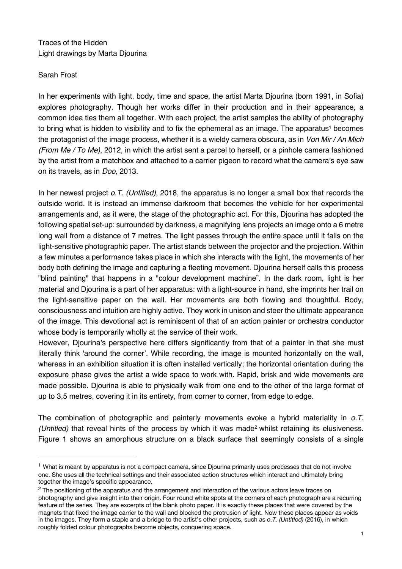## Traces of the Hidden Light drawings by Marta Djourina

## Sarah Frost

 $\overline{a}$ 

In her experiments with light, body, time and space, the artist Marta Djourina (born 1991, in Sofia) explores photography. Though her works differ in their production and in their appearance, a common idea ties them all together. With each project, the artist samples the ability of photography to bring what is hidden to visibility and to fix the ephemeral as an image. The apparatus<sup>1</sup> becomes the protagonist of the image process, whether it is a wieldy camera obscura, as in *Von Mir / An Mich (From Me / To Me)*, 2012, in which the artist sent a parcel to herself, or a pinhole camera fashioned by the artist from a matchbox and attached to a carrier pigeon to record what the camera's eye saw on its travels, as in *Doo,* 2013.

In her newest project *o.T. (Untitled)*, 2018, the apparatus is no longer a small box that records the outside world. It is instead an immense darkroom that becomes the vehicle for her experimental arrangements and, as it were, the stage of the photographic act. For this, Djourina has adopted the following spatial set-up: surrounded by darkness, a magnifying lens projects an image onto a 6 metre long wall from a distance of 7 metres. The light passes through the entire space until it falls on the light-sensitive photographic paper. The artist stands between the projector and the projection. Within a few minutes a performance takes place in which she interacts with the light, the movements of her body both defining the image and capturing a fleeting movement. Djourina herself calls this process "blind painting" that happens in a "colour development machine". In the dark room, light is her material and Djourina is a part of her apparatus: with a light-source in hand, she imprints her trail on the light-sensitive paper on the wall. Her movements are both flowing and thoughtful. Body, consciousness and intuition are highly active. They work in unison and steer the ultimate appearance of the image. This devotional act is reminiscent of that of an action painter or orchestra conductor whose body is temporarily wholly at the service of their work.

However, Djourina's perspective here differs significantly from that of a painter in that she must literally think 'around the corner'. While recording, the image is mounted horizontally on the wall, whereas in an exhibition situation it is often installed vertically; the horizontal orientation during the exposure phase gives the artist a wide space to work with. Rapid, brisk and wide movements are made possible. Djourina is able to physically walk from one end to the other of the large format of up to 3,5 metres, covering it in its entirety, from corner to corner, from edge to edge.

The combination of photographic and painterly movements evoke a hybrid materiality in *o.T. (Untitled)* that reveal hints of the process by which it was made<sup>2</sup> whilst retaining its elusiveness. Figure 1 shows an amorphous structure on a black surface that seemingly consists of a single

<sup>&</sup>lt;sup>1</sup> What is meant by apparatus is not a compact camera, since Djourina primarily uses processes that do not involve one. She uses all the technical settings and their associated action structures which interact and ultimately bring together the image's specific appearance.

<sup>&</sup>lt;sup>2</sup> The positioning of the apparatus and the arrangement and interaction of the various actors leave traces on photography and give insight into their origin. Four round white spots at the corners of each photograph are a recurring feature of the series. They are excerpts of the blank photo paper. It is exactly these places that were covered by the magnets that fixed the image carrier to the wall and blocked the protrusion of light. Now these places appear as voids in the images. They form a staple and a bridge to the artist's other projects, such as *o.T. (Untitled)* (2016), in which roughly folded colour photographs become objects, conquering space.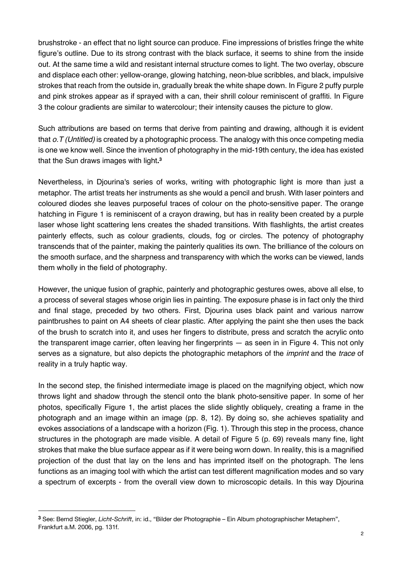brushstroke - an effect that no light source can produce. Fine impressions of bristles fringe the white figure's outline. Due to its strong contrast with the black surface, it seems to shine from the inside out. At the same time a wild and resistant internal structure comes to light. The two overlay, obscure and displace each other: yellow-orange, glowing hatching, neon-blue scribbles, and black, impulsive strokes that reach from the outside in, gradually break the white shape down. In Figure 2 puffy purple and pink strokes appear as if sprayed with a can, their shrill colour reminiscent of graffiti. In Figure 3 the colour gradients are similar to watercolour; their intensity causes the picture to glow.

Such attributions are based on terms that derive from painting and drawing, although it is evident that *o.T (Untitled)* is created by a photographic process*.* The analogy with this once competing media is one we know well. Since the invention of photography in the mid-19th century, the idea has existed that the Sun draws images with light**. 3**

Nevertheless, in Djourina's series of works, writing with photographic light is more than just a metaphor. The artist treats her instruments as she would a pencil and brush. With laser pointers and coloured diodes she leaves purposeful traces of colour on the photo-sensitive paper. The orange hatching in Figure 1 is reminiscent of a crayon drawing, but has in reality been created by a purple laser whose light scattering lens creates the shaded transitions. With flashlights, the artist creates painterly effects, such as colour gradients, clouds, fog or circles. The potency of photography transcends that of the painter, making the painterly qualities its own. The brilliance of the colours on the smooth surface, and the sharpness and transparency with which the works can be viewed, lands them wholly in the field of photography.

However, the unique fusion of graphic, painterly and photographic gestures owes, above all else, to a process of several stages whose origin lies in painting. The exposure phase is in fact only the third and final stage, preceded by two others. First, Djourina uses black paint and various narrow paintbrushes to paint on A4 sheets of clear plastic. After applying the paint she then uses the back of the brush to scratch into it, and uses her fingers to distribute, press and scratch the acrylic onto the transparent image carrier, often leaving her fingerprints — as seen in in Figure 4. This not only serves as a signature, but also depicts the photographic metaphors of the *imprint* and the *trace* of reality in a truly haptic way.

In the second step, the finished intermediate image is placed on the magnifying object, which now throws light and shadow through the stencil onto the blank photo-sensitive paper. In some of her photos, specifically Figure 1, the artist places the slide slightly obliquely, creating a frame in the photograph and an image within an image (pp. 8, 12). By doing so, she achieves spatiality and evokes associations of a landscape with a horizon (Fig. 1). Through this step in the process, chance structures in the photograph are made visible. A detail of Figure 5 (p. 69) reveals many fine, light strokes that make the blue surface appear as if it were being worn down. In reality, this is a magnified projection of the dust that lay on the lens and has imprinted itself on the photograph. The lens functions as an imaging tool with which the artist can test different magnification modes and so vary a spectrum of excerpts - from the overall view down to microscopic details. In this way Djourina

 $\overline{a}$ 

**<sup>3</sup>** See: Bernd Stiegler, *Licht-Schrift*, in: id., "Bilder der Photographie – Ein Album photographischer Metaphern", Frankfurt a.M. 2006, pg. 131f.